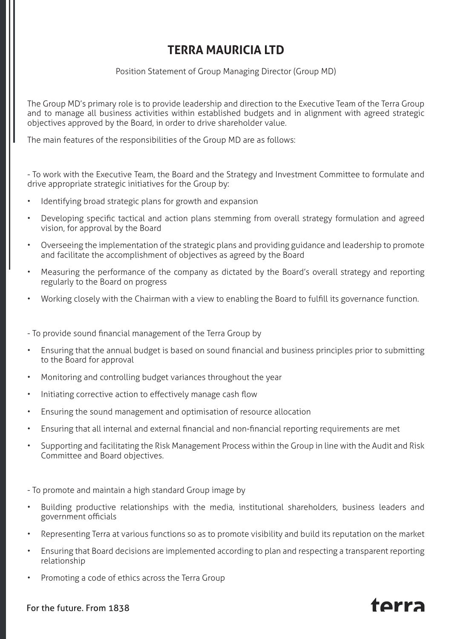## **TERRA MAURICIA LTD**

Position Statement of Group Managing Director (Group MD)

The Group MD's primary role is to provide leadership and direction to the Executive Team of the Terra Group and to manage all business activities within established budgets and in alignment with agreed strategic objectives approved by the Board, in order to drive shareholder value.

The main features of the responsibilities of the Group MD are as follows:

- To work with the Executive Team, the Board and the Strategy and Investment Committee to formulate and drive appropriate strategic initiatives for the Group by:

- Identifying broad strategic plans for growth and expansion
- Developing specific tactical and action plans stemming from overall strategy formulation and agreed vision, for approval by the Board
- Overseeing the implementation of the strategic plans and providing guidance and leadership to promote and facilitate the accomplishment of objectives as agreed by the Board
- Measuring the performance of the company as dictated by the Board's overall strategy and reporting regularly to the Board on progress
- Working closely with the Chairman with a view to enabling the Board to fulfill its governance function.

- To provide sound financial management of the Terra Group by

- Ensuring that the annual budget is based on sound financial and business principles prior to submitting to the Board for approval
- Monitoring and controlling budget variances throughout the year
- Initiating corrective action to effectively manage cash flow
- Ensuring the sound management and optimisation of resource allocation
- Ensuring that all internal and external financial and non-financial reporting requirements are met
- Supporting and facilitating the Risk Management Process within the Group in line with the Audit and Risk Committee and Board objectives.

- To promote and maintain a high standard Group image by

- Building productive relationships with the media, institutional shareholders, business leaders and government officials
- Representing Terra at various functions so as to promote visibility and build its reputation on the market
- Ensuring that Board decisions are implemented according to plan and respecting a transparent reporting relationship
- Promoting a code of ethics across the Terra Group

## For the future. From 1838